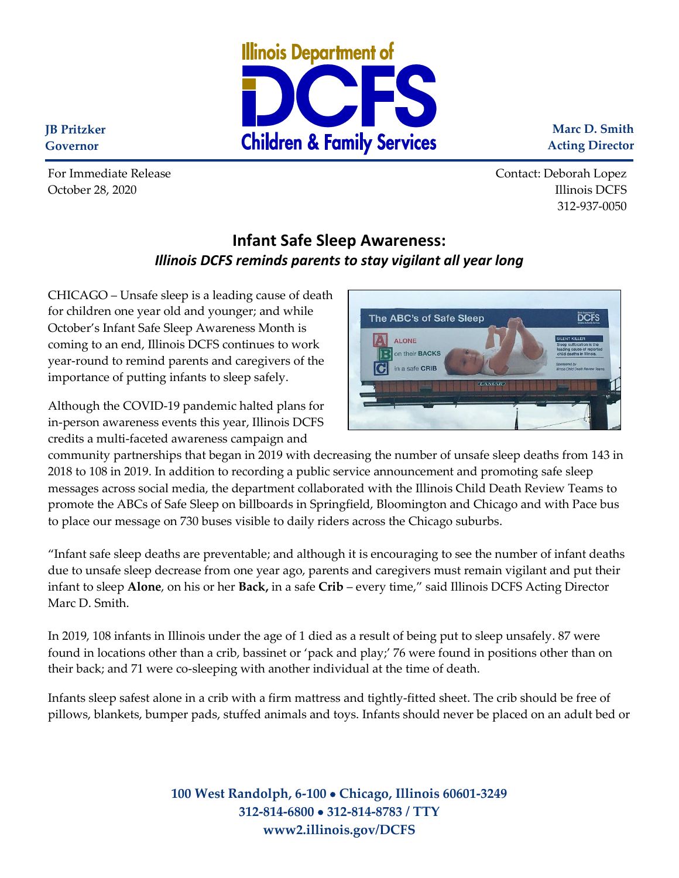

**Marc D. Smith Acting Director**

For Immediate Release Contact: Deborah Lopez October 28, 2020 Illinois DCFS 312-937-0050

## **Infant Safe Sleep Awareness:** *Illinois DCFS reminds parents to stay vigilant all year long*

CHICAGO – Unsafe sleep is a leading cause of death for children one year old and younger; and while October's Infant Safe Sleep Awareness Month is coming to an end, Illinois DCFS continues to work year-round to remind parents and caregivers of the importance of putting infants to sleep safely.

Although the COVID-19 pandemic halted plans for in-person awareness events this year, Illinois DCFS credits a multi-faceted awareness campaign and



community partnerships that began in 2019 with decreasing the number of unsafe sleep deaths from 143 in 2018 to 108 in 2019. In addition to recording a public service announcement and promoting safe sleep messages across social media, the department collaborated with the Illinois Child Death Review Teams to promote the ABCs of Safe Sleep on billboards in Springfield, Bloomington and Chicago and with Pace bus to place our message on 730 buses visible to daily riders across the Chicago suburbs.

"Infant safe sleep deaths are preventable; and although it is encouraging to see the number of infant deaths due to unsafe sleep decrease from one year ago, parents and caregivers must remain vigilant and put their infant to sleep **Alone**, on his or her **Back,** in a safe **Crib** – every time," said Illinois DCFS Acting Director Marc D. Smith.

In 2019, 108 infants in Illinois under the age of 1 died as a result of being put to sleep unsafely. 87 were found in locations other than a crib, bassinet or 'pack and play;' 76 were found in positions other than on their back; and 71 were co-sleeping with another individual at the time of death.

Infants sleep safest alone in a crib with a firm mattress and tightly-fitted sheet. The crib should be free of pillows, blankets, bumper pads, stuffed animals and toys. Infants should never be placed on an adult bed or

> **100 West Randolph, 6-100** • **Chicago, Illinois 60601-3249 312-814-6800** • **312-814-8783 / TTY www2.illinois.gov/DCFS**

**JB Pritzker Governor**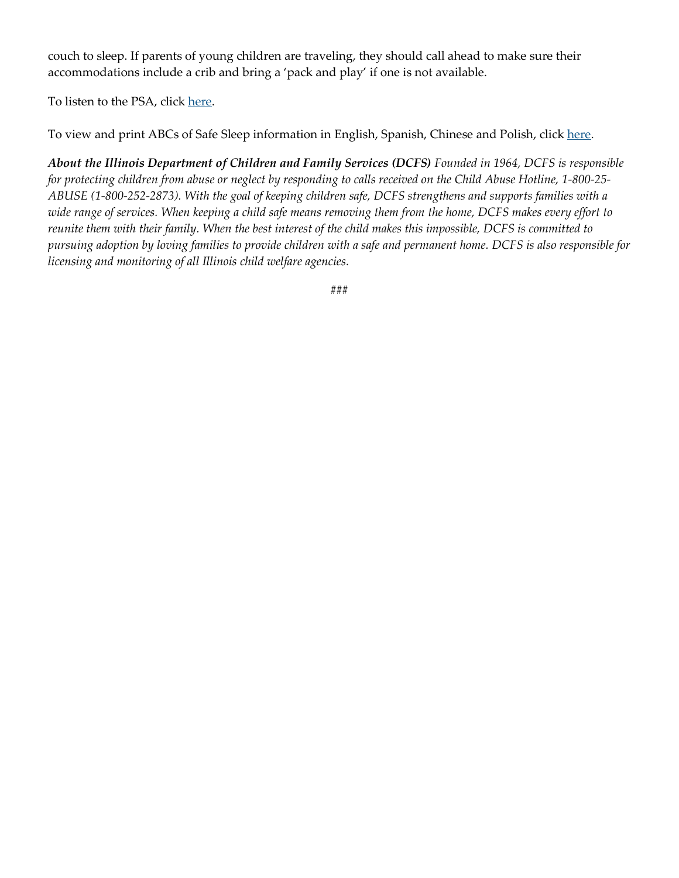couch to sleep. If parents of young children are traveling, they should call ahead to make sure their accommodations include a crib and bring a 'pack and play' if one is not available.

To listen to the PSA, click [here.](http://multimedia.illinois.gov/iisradio/dcfs%20safe%20sleep%20aug%2020.mp3)

To view and print ABCs of Safe Sleep information in English, Spanish, Chinese and Polish, clic[k here.](https://www2.illinois.gov/dcfs/safekids/safety/Pages/Sleep-Safety.aspx)

*About the Illinois Department of Children and Family Services (DCFS) Founded in 1964, DCFS is responsible for protecting children from abuse or neglect by responding to calls received on the Child Abuse Hotline, 1-800-25- ABUSE (1-800-252-2873). With the goal of keeping children safe, DCFS strengthens and supports families with a wide range of services. When keeping a child safe means removing them from the home, DCFS makes every effort to reunite them with their family. When the best interest of the child makes this impossible, DCFS is committed to pursuing adoption by loving families to provide children with a safe and permanent home. DCFS is also responsible for licensing and monitoring of all Illinois child welfare agencies.*

###